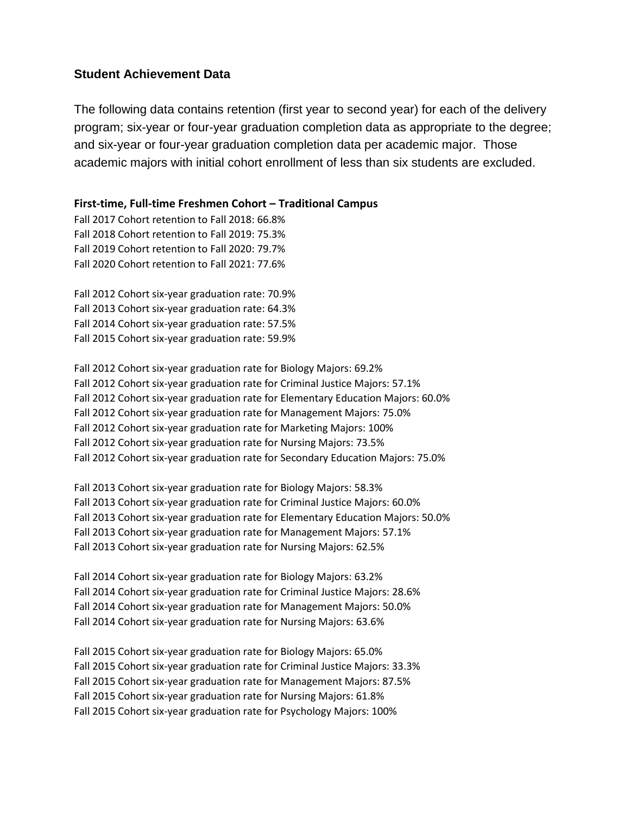# **Student Achievement Data**

The following data contains retention (first year to second year) for each of the delivery program; six-year or four-year graduation completion data as appropriate to the degree; and six-year or four-year graduation completion data per academic major. Those academic majors with initial cohort enrollment of less than six students are excluded.

**First-time, Full-time Freshmen Cohort – Traditional Campus**

Fall 2017 Cohort retention to Fall 2018: 66.8% Fall 2018 Cohort retention to Fall 2019: 75.3% Fall 2019 Cohort retention to Fall 2020: 79.7% Fall 2020 Cohort retention to Fall 2021: 77.6%

Fall 2012 Cohort six-year graduation rate: 70.9% Fall 2013 Cohort six-year graduation rate: 64.3% Fall 2014 Cohort six-year graduation rate: 57.5% Fall 2015 Cohort six-year graduation rate: 59.9%

Fall 2012 Cohort six-year graduation rate for Biology Majors: 69.2% Fall 2012 Cohort six-year graduation rate for Criminal Justice Majors: 57.1% Fall 2012 Cohort six-year graduation rate for Elementary Education Majors: 60.0% Fall 2012 Cohort six-year graduation rate for Management Majors: 75.0% Fall 2012 Cohort six-year graduation rate for Marketing Majors: 100% Fall 2012 Cohort six-year graduation rate for Nursing Majors: 73.5% Fall 2012 Cohort six-year graduation rate for Secondary Education Majors: 75.0%

Fall 2013 Cohort six-year graduation rate for Biology Majors: 58.3% Fall 2013 Cohort six-year graduation rate for Criminal Justice Majors: 60.0% Fall 2013 Cohort six-year graduation rate for Elementary Education Majors: 50.0% Fall 2013 Cohort six-year graduation rate for Management Majors: 57.1% Fall 2013 Cohort six-year graduation rate for Nursing Majors: 62.5%

Fall 2014 Cohort six-year graduation rate for Biology Majors: 63.2% Fall 2014 Cohort six-year graduation rate for Criminal Justice Majors: 28.6% Fall 2014 Cohort six-year graduation rate for Management Majors: 50.0% Fall 2014 Cohort six-year graduation rate for Nursing Majors: 63.6%

Fall 2015 Cohort six-year graduation rate for Biology Majors: 65.0% Fall 2015 Cohort six-year graduation rate for Criminal Justice Majors: 33.3% Fall 2015 Cohort six-year graduation rate for Management Majors: 87.5% Fall 2015 Cohort six-year graduation rate for Nursing Majors: 61.8% Fall 2015 Cohort six-year graduation rate for Psychology Majors: 100%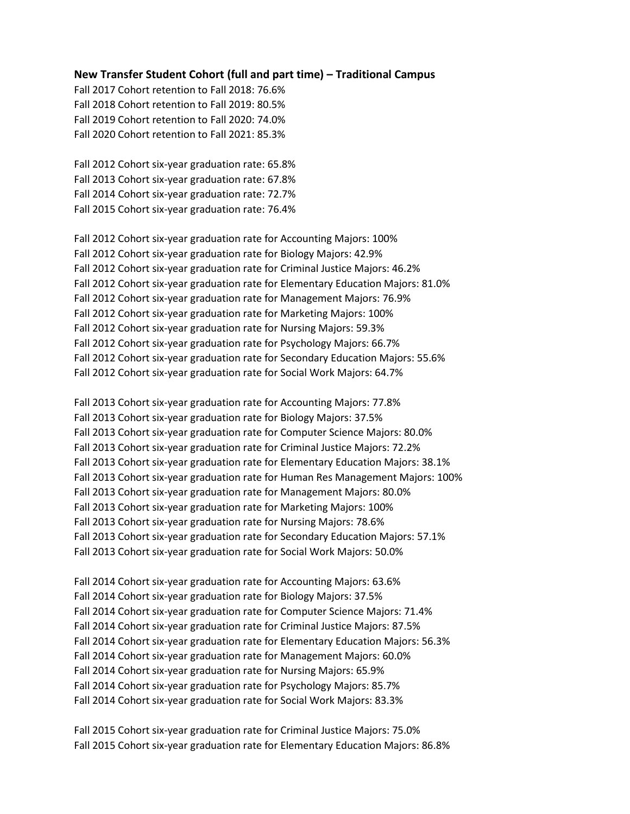### **New Transfer Student Cohort (full and part time) – Traditional Campus**

Fall 2017 Cohort retention to Fall 2018: 76.6% Fall 2018 Cohort retention to Fall 2019: 80.5% Fall 2019 Cohort retention to Fall 2020: 74.0% Fall 2020 Cohort retention to Fall 2021: 85.3%

Fall 2012 Cohort six-year graduation rate: 65.8% Fall 2013 Cohort six-year graduation rate: 67.8% Fall 2014 Cohort six-year graduation rate: 72.7% Fall 2015 Cohort six-year graduation rate: 76.4%

Fall 2012 Cohort six-year graduation rate for Accounting Majors: 100% Fall 2012 Cohort six-year graduation rate for Biology Majors: 42.9% Fall 2012 Cohort six-year graduation rate for Criminal Justice Majors: 46.2% Fall 2012 Cohort six-year graduation rate for Elementary Education Majors: 81.0% Fall 2012 Cohort six-year graduation rate for Management Majors: 76.9% Fall 2012 Cohort six-year graduation rate for Marketing Majors: 100% Fall 2012 Cohort six-year graduation rate for Nursing Majors: 59.3% Fall 2012 Cohort six-year graduation rate for Psychology Majors: 66.7% Fall 2012 Cohort six-year graduation rate for Secondary Education Majors: 55.6% Fall 2012 Cohort six-year graduation rate for Social Work Majors: 64.7%

Fall 2013 Cohort six-year graduation rate for Accounting Majors: 77.8% Fall 2013 Cohort six-year graduation rate for Biology Majors: 37.5% Fall 2013 Cohort six-year graduation rate for Computer Science Majors: 80.0% Fall 2013 Cohort six-year graduation rate for Criminal Justice Majors: 72.2% Fall 2013 Cohort six-year graduation rate for Elementary Education Majors: 38.1% Fall 2013 Cohort six-year graduation rate for Human Res Management Majors: 100% Fall 2013 Cohort six-year graduation rate for Management Majors: 80.0% Fall 2013 Cohort six-year graduation rate for Marketing Majors: 100% Fall 2013 Cohort six-year graduation rate for Nursing Majors: 78.6% Fall 2013 Cohort six-year graduation rate for Secondary Education Majors: 57.1% Fall 2013 Cohort six-year graduation rate for Social Work Majors: 50.0%

Fall 2014 Cohort six-year graduation rate for Accounting Majors: 63.6% Fall 2014 Cohort six-year graduation rate for Biology Majors: 37.5% Fall 2014 Cohort six-year graduation rate for Computer Science Majors: 71.4% Fall 2014 Cohort six-year graduation rate for Criminal Justice Majors: 87.5% Fall 2014 Cohort six-year graduation rate for Elementary Education Majors: 56.3% Fall 2014 Cohort six-year graduation rate for Management Majors: 60.0% Fall 2014 Cohort six-year graduation rate for Nursing Majors: 65.9% Fall 2014 Cohort six-year graduation rate for Psychology Majors: 85.7% Fall 2014 Cohort six-year graduation rate for Social Work Majors: 83.3%

Fall 2015 Cohort six-year graduation rate for Criminal Justice Majors: 75.0% Fall 2015 Cohort six-year graduation rate for Elementary Education Majors: 86.8%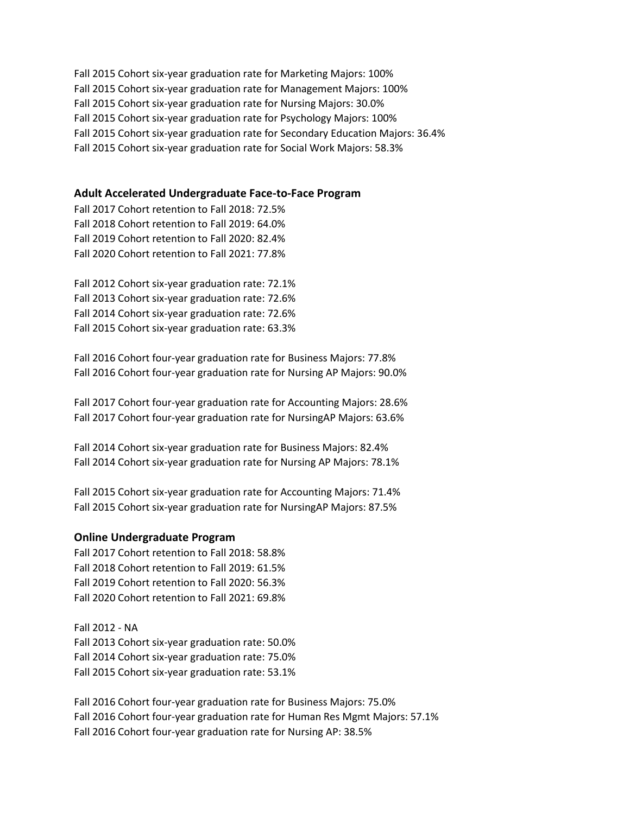Fall 2015 Cohort six-year graduation rate for Marketing Majors: 100% Fall 2015 Cohort six-year graduation rate for Management Majors: 100% Fall 2015 Cohort six-year graduation rate for Nursing Majors: 30.0% Fall 2015 Cohort six-year graduation rate for Psychology Majors: 100% Fall 2015 Cohort six-year graduation rate for Secondary Education Majors: 36.4% Fall 2015 Cohort six-year graduation rate for Social Work Majors: 58.3%

### **Adult Accelerated Undergraduate Face-to-Face Program**

Fall 2017 Cohort retention to Fall 2018: 72.5% Fall 2018 Cohort retention to Fall 2019: 64.0% Fall 2019 Cohort retention to Fall 2020: 82.4% Fall 2020 Cohort retention to Fall 2021: 77.8%

Fall 2012 Cohort six-year graduation rate: 72.1% Fall 2013 Cohort six-year graduation rate: 72.6% Fall 2014 Cohort six-year graduation rate: 72.6% Fall 2015 Cohort six-year graduation rate: 63.3%

Fall 2016 Cohort four-year graduation rate for Business Majors: 77.8% Fall 2016 Cohort four-year graduation rate for Nursing AP Majors: 90.0%

Fall 2017 Cohort four-year graduation rate for Accounting Majors: 28.6% Fall 2017 Cohort four-year graduation rate for NursingAP Majors: 63.6%

Fall 2014 Cohort six-year graduation rate for Business Majors: 82.4% Fall 2014 Cohort six-year graduation rate for Nursing AP Majors: 78.1%

Fall 2015 Cohort six-year graduation rate for Accounting Majors: 71.4% Fall 2015 Cohort six-year graduation rate for NursingAP Majors: 87.5%

#### **Online Undergraduate Program**

Fall 2017 Cohort retention to Fall 2018: 58.8% Fall 2018 Cohort retention to Fall 2019: 61.5% Fall 2019 Cohort retention to Fall 2020: 56.3% Fall 2020 Cohort retention to Fall 2021: 69.8%

Fall 2012 - NA Fall 2013 Cohort six-year graduation rate: 50.0% Fall 2014 Cohort six-year graduation rate: 75.0% Fall 2015 Cohort six-year graduation rate: 53.1%

Fall 2016 Cohort four-year graduation rate for Business Majors: 75.0% Fall 2016 Cohort four-year graduation rate for Human Res Mgmt Majors: 57.1% Fall 2016 Cohort four-year graduation rate for Nursing AP: 38.5%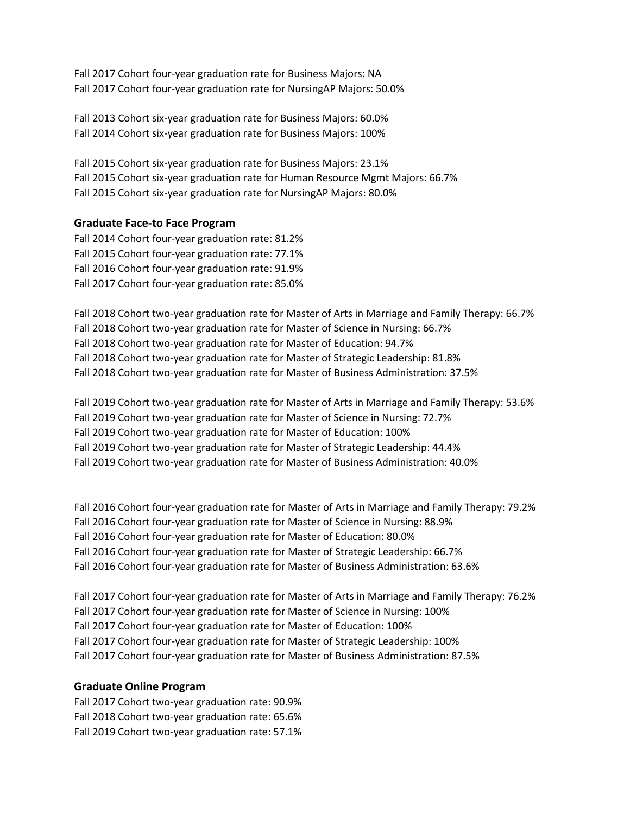Fall 2017 Cohort four-year graduation rate for Business Majors: NA Fall 2017 Cohort four-year graduation rate for NursingAP Majors: 50.0%

Fall 2013 Cohort six-year graduation rate for Business Majors: 60.0% Fall 2014 Cohort six-year graduation rate for Business Majors: 100%

Fall 2015 Cohort six-year graduation rate for Business Majors: 23.1% Fall 2015 Cohort six-year graduation rate for Human Resource Mgmt Majors: 66.7% Fall 2015 Cohort six-year graduation rate for NursingAP Majors: 80.0%

# **Graduate Face-to Face Program**

Fall 2014 Cohort four-year graduation rate: 81.2% Fall 2015 Cohort four-year graduation rate: 77.1% Fall 2016 Cohort four-year graduation rate: 91.9% Fall 2017 Cohort four-year graduation rate: 85.0%

Fall 2018 Cohort two-year graduation rate for Master of Arts in Marriage and Family Therapy: 66.7% Fall 2018 Cohort two-year graduation rate for Master of Science in Nursing: 66.7% Fall 2018 Cohort two-year graduation rate for Master of Education: 94.7% Fall 2018 Cohort two-year graduation rate for Master of Strategic Leadership: 81.8% Fall 2018 Cohort two-year graduation rate for Master of Business Administration: 37.5%

Fall 2019 Cohort two-year graduation rate for Master of Arts in Marriage and Family Therapy: 53.6% Fall 2019 Cohort two-year graduation rate for Master of Science in Nursing: 72.7% Fall 2019 Cohort two-year graduation rate for Master of Education: 100% Fall 2019 Cohort two-year graduation rate for Master of Strategic Leadership: 44.4% Fall 2019 Cohort two-year graduation rate for Master of Business Administration: 40.0%

Fall 2016 Cohort four-year graduation rate for Master of Arts in Marriage and Family Therapy: 79.2% Fall 2016 Cohort four-year graduation rate for Master of Science in Nursing: 88.9% Fall 2016 Cohort four-year graduation rate for Master of Education: 80.0% Fall 2016 Cohort four-year graduation rate for Master of Strategic Leadership: 66.7% Fall 2016 Cohort four-year graduation rate for Master of Business Administration: 63.6%

Fall 2017 Cohort four-year graduation rate for Master of Arts in Marriage and Family Therapy: 76.2% Fall 2017 Cohort four-year graduation rate for Master of Science in Nursing: 100% Fall 2017 Cohort four-year graduation rate for Master of Education: 100% Fall 2017 Cohort four-year graduation rate for Master of Strategic Leadership: 100% Fall 2017 Cohort four-year graduation rate for Master of Business Administration: 87.5%

## **Graduate Online Program**

Fall 2017 Cohort two-year graduation rate: 90.9% Fall 2018 Cohort two-year graduation rate: 65.6% Fall 2019 Cohort two-year graduation rate: 57.1%